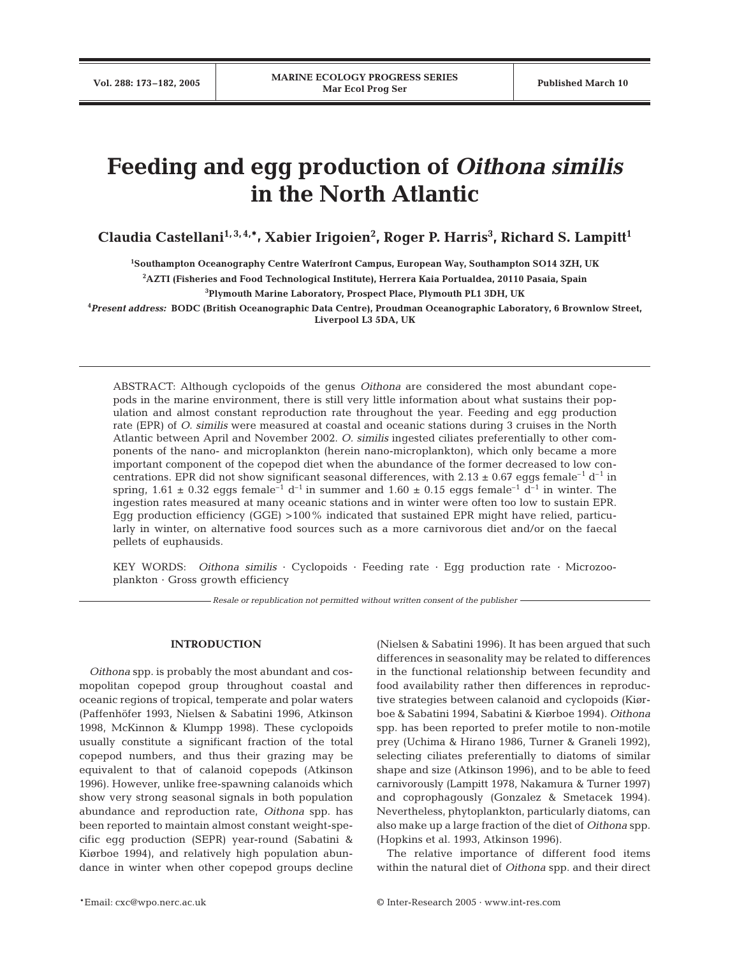# **Feeding and egg production of** *Oithona similis* **in the North Atlantic**

**Claudia Castellani1, 3, 4,\*, Xabier Irigoien2 , Roger P. Harris3 , Richard S. Lampitt1**

**1 Southampton Oceanography Centre Waterfront Campus, European Way, Southampton SO14 3ZH, UK**

**2 AZTI (Fisheries and Food Technological Institute), Herrera Kaia Portualdea, 20110 Pasaia, Spain** 

**3 Plymouth Marine Laboratory, Prospect Place, Plymouth PL1 3DH, UK**

**4** *Present address:* **BODC (British Oceanographic Data Centre), Proudman Oceanographic Laboratory, 6 Brownlow Street, Liverpool L3 5DA, UK**

ABSTRACT: Although cyclopoids of the genus *Oithona* are considered the most abundant copepods in the marine environment, there is still very little information about what sustains their population and almost constant reproduction rate throughout the year. Feeding and egg production rate (EPR) of *O. similis* were measured at coastal and oceanic stations during 3 cruises in the North Atlantic between April and November 2002. *O. similis* ingested ciliates preferentially to other components of the nano- and microplankton (herein nano-microplankton), which only became a more important component of the copepod diet when the abundance of the former decreased to low concentrations. EPR did not show significant seasonal differences, with  $2.13 \pm 0.67$  eggs female<sup>-1</sup> d<sup>-1</sup> in spring,  $1.61 \pm 0.32$  eggs female<sup>-1</sup> d<sup>-1</sup> in summer and  $1.60 \pm 0.15$  eggs female<sup>-1</sup> d<sup>-1</sup> in winter. The ingestion rates measured at many oceanic stations and in winter were often too low to sustain EPR. Egg production efficiency (GGE) >100% indicated that sustained EPR might have relied, particularly in winter, on alternative food sources such as a more carnivorous diet and/or on the faecal pellets of euphausids.

KEY WORDS: *Oithona similis* · Cyclopoids · Feeding rate · Egg production rate *·* Microzooplankton · Gross growth efficiency

*Resale or republication not permitted without written consent of the publisher*

# **INTRODUCTION**

*Oithona* spp. is probably the most abundant and cosmopolitan copepod group throughout coastal and oceanic regions of tropical, temperate and polar waters (Paffenhöfer 1993, Nielsen & Sabatini 1996, Atkinson 1998, McKinnon & Klumpp 1998). These cyclopoids usually constitute a significant fraction of the total copepod numbers, and thus their grazing may be equivalent to that of calanoid copepods (Atkinson 1996). However, unlike free-spawning calanoids which show very strong seasonal signals in both population abundance and reproduction rate, *Oithona* spp. has been reported to maintain almost constant weight-specific egg production (SEPR) year-round (Sabatini & Kiørboe 1994), and relatively high population abundance in winter when other copepod groups decline (Nielsen & Sabatini 1996). It has been argued that such differences in seasonality may be related to differences in the functional relationship between fecundity and food availability rather then differences in reproductive strategies between calanoid and cyclopoids (Kiørboe & Sabatini 1994, Sabatini & Kiørboe 1994). *Oithona* spp. has been reported to prefer motile to non-motile prey (Uchima & Hirano 1986, Turner & Graneli 1992), selecting ciliates preferentially to diatoms of similar shape and size (Atkinson 1996), and to be able to feed carnivorously (Lampitt 1978, Nakamura & Turner 1997) and coprophagously (Gonzalez & Smetacek 1994). Nevertheless, phytoplankton, particularly diatoms, can also make up a large fraction of the diet of *Oithona* spp. (Hopkins et al. 1993, Atkinson 1996).

The relative importance of different food items within the natural diet of *Oithona* spp. and their direct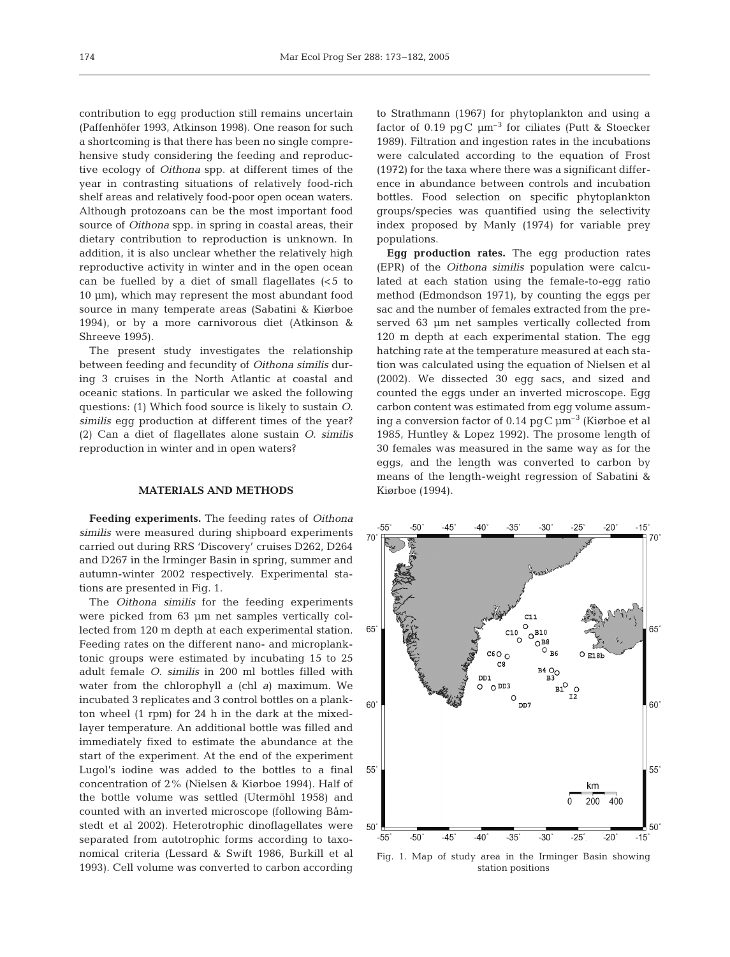contribution to egg production still remains uncertain (Paffenhöfer 1993, Atkinson 1998). One reason for such a shortcoming is that there has been no single comprehensive study considering the feeding and reproductive ecology of *Oithona* spp. at different times of the year in contrasting situations of relatively food-rich shelf areas and relatively food-poor open ocean waters. Although protozoans can be the most important food source of *Oithona* spp. in spring in coastal areas, their dietary contribution to reproduction is unknown. In addition, it is also unclear whether the relatively high reproductive activity in winter and in the open ocean can be fuelled by a diet of small flagellates  $\left( < 5 \right)$  to 10 µm), which may represent the most abundant food source in many temperate areas (Sabatini & Kiørboe 1994), or by a more carnivorous diet (Atkinson & Shreeve 1995).

The present study investigates the relationship between feeding and fecundity of *Oithona similis* during 3 cruises in the North Atlantic at coastal and oceanic stations. In particular we asked the following questions: (1) Which food source is likely to sustain *O. similis* egg production at different times of the year? (2) Can a diet of flagellates alone sustain *O. similis* reproduction in winter and in open waters?

# **MATERIALS AND METHODS**

**Feeding experiments.** The feeding rates of *Oithona similis* were measured during shipboard experiments carried out during RRS 'Discovery' cruises D262, D264 and D267 in the Irminger Basin in spring, summer and autumn-winter 2002 respectively. Experimental stations are presented in Fig. 1.

The *Oithona similis* for the feeding experiments were picked from 63 µm net samples vertically collected from 120 m depth at each experimental station. Feeding rates on the different nano- and microplanktonic groups were estimated by incubating 15 to 25 adult female *O. similis* in 200 ml bottles filled with water from the chlorophyll *a* (chl *a*) maximum. We incubated 3 replicates and 3 control bottles on a plankton wheel (1 rpm) for 24 h in the dark at the mixedlayer temperature. An additional bottle was filled and immediately fixed to estimate the abundance at the start of the experiment. At the end of the experiment Lugol's iodine was added to the bottles to a final concentration of 2% (Nielsen & Kiørboe 1994). Half of the bottle volume was settled (Utermöhl 1958) and counted with an inverted microscope (following Båmstedt et al 2002). Heterotrophic dinoflagellates were separated from autotrophic forms according to taxonomical criteria (Lessard & Swift 1986, Burkill et al 1993). Cell volume was converted to carbon according

to Strathmann (1967) for phytoplankton and using a factor of 0.19 pgC  $\mu$ m<sup>-3</sup> for ciliates (Putt & Stoecker 1989). Filtration and ingestion rates in the incubations were calculated according to the equation of Frost (1972) for the taxa where there was a significant difference in abundance between controls and incubation bottles. Food selection on specific phytoplankton groups/species was quantified using the selectivity index proposed by Manly (1974) for variable prey populations.

**Egg production rates.** The egg production rates (EPR) of the *Oithona similis* population were calculated at each station using the female-to-egg ratio method (Edmondson 1971), by counting the eggs per sac and the number of females extracted from the preserved 63 µm net samples vertically collected from 120 m depth at each experimental station. The egg hatching rate at the temperature measured at each station was calculated using the equation of Nielsen et al (2002). We dissected 30 egg sacs, and sized and counted the eggs under an inverted microscope. Egg carbon content was estimated from egg volume assuming a conversion factor of 0.14 pgC  $\mu$ m<sup>-3</sup> (Kiørboe et al 1985, Huntley & Lopez 1992). The prosome length of 30 females was measured in the same way as for the eggs, and the length was converted to carbon by means of the length-weight regression of Sabatini & Kiørboe (1994).



Fig. 1. Map of study area in the Irminger Basin showing station positions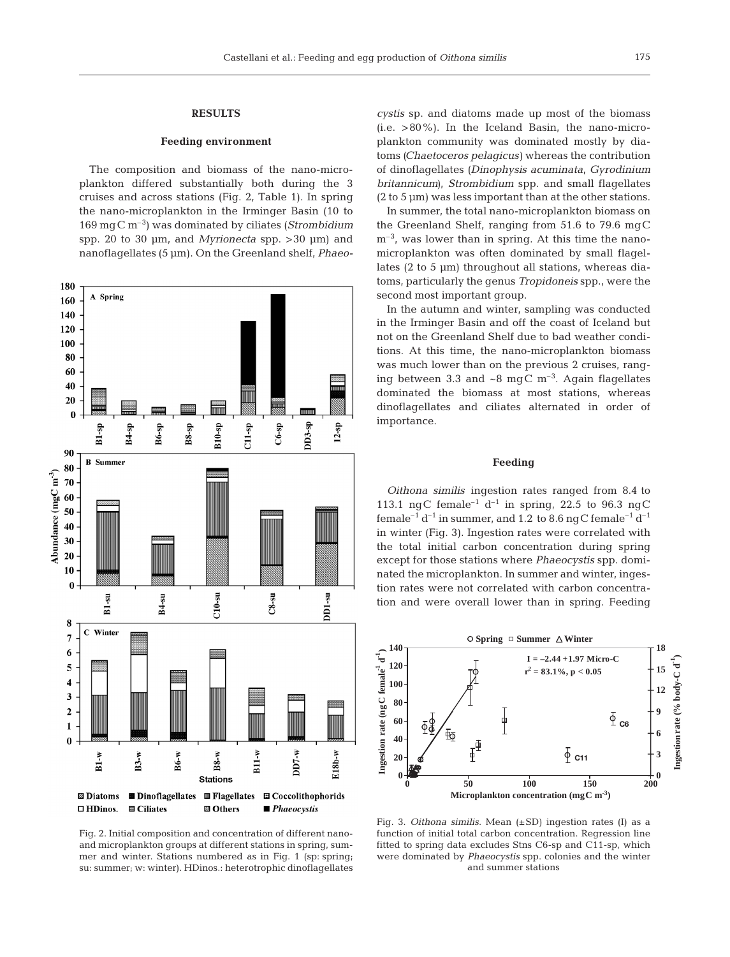## **RESULTS**

#### **Feeding environment**

The composition and biomass of the nano-microplankton differed substantially both during the 3 cruises and across stations (Fig. 2, Table 1). In spring the nano-microplankton in the Irminger Basin (10 to 169 mgC m–3) was dominated by ciliates (*Strombidium* spp. 20 to 30 µm, and *Myrionecta* spp. >30 µm) and nanoflagellates (5 µm). On the Greenland shelf, *Phaeo-*



Fig. 2. Initial composition and concentration of different nanoand microplankton groups at different stations in spring, summer and winter. Stations numbered as in Fig. 1 (sp: spring; su: summer; w: winter). HDinos.: heterotrophic dinoflagellates

*cystis* sp. and diatoms made up most of the biomass  $(i.e. >80\%)$ . In the Iceland Basin, the nano-microplankton community was dominated mostly by diatoms *(Chaetoceros pelagicus)* whereas the contribution of dinoflagellates *(Dinophysis acuminata, Gyrodinium britannicum)*, *Strombidium* spp. and small flagellates  $(2 to 5 um)$  was less important than at the other stations.

In summer, the total nano-microplankton biomass on the Greenland Shelf, ranging from 51.6 to 79.6 mgC  $m<sup>-3</sup>$ , was lower than in spring. At this time the nanomicroplankton was often dominated by small flagellates (2 to 5 µm) throughout all stations, whereas diatoms, particularly the genus *Tropidoneis* spp., were the second most important group.

In the autumn and winter, sampling was conducted in the Irminger Basin and off the coast of Iceland but not on the Greenland Shelf due to bad weather conditions. At this time, the nano-microplankton biomass was much lower than on the previous 2 cruises, ranging between 3.3 and  $\sim8$  mgC m<sup>-3</sup>. Again flagellates dominated the biomass at most stations, whereas dinoflagellates and ciliates alternated in order of importance.

#### **Feeding**

*Oithona similis* ingestion rates ranged from 8.4 to 113.1 ngC female<sup>-1</sup> d<sup>-1</sup> in spring, 22.5 to 96.3 ngC female<sup>-1</sup> d<sup>-1</sup> in summer, and 1.2 to 8.6 ngC female<sup>-1</sup> d<sup>-1</sup> in winter (Fig. 3). Ingestion rates were correlated with the total initial carbon concentration during spring except for those stations where *Phaeocystis* spp. dominated the microplankton. In summer and winter, ingestion rates were not correlated with carbon concentration and were overall lower than in spring. Feeding



Fig. 3. *Oithona similis*. Mean (±SD) ingestion rates (I) as a function of initial total carbon concentration. Regression line fitted to spring data excludes Stns C6-sp and C11-sp, which were dominated by *Phaeocystis* spp. colonies and the winter and summer stations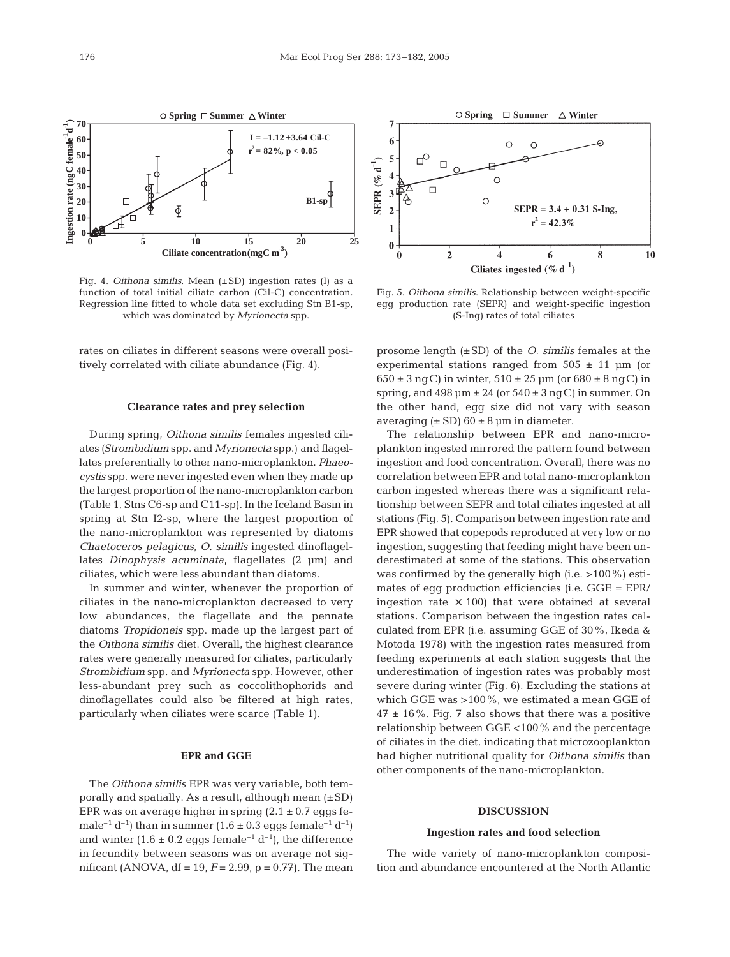

Fig. 4. *Oithona similis*. Mean (±SD) ingestion rates (I) as a function of total initial ciliate carbon (Cil-C) concentration. Regression line fitted to whole data set excluding Stn B1-sp, which was dominated by *Myrionecta* spp.

rates on ciliates in different seasons were overall positively correlated with ciliate abundance (Fig. 4).

#### **Clearance rates and prey selection**

During spring, *Oithona similis* females ingested ciliates *(Strombidium* spp. and *Myrionecta* spp.) and flagellates preferentially to other nano-microplankton. *Phaeocystis* spp. were never ingested even when they made up the largest proportion of the nano-microplankton carbon (Table 1, Stns C6-sp and C11-sp). In the Iceland Basin in spring at Stn I2-sp, where the largest proportion of the nano-microplankton was represented by diatoms *Chaetoceros pelagicus*, *O. similis* ingested dinoflagellates *Dinophysis acuminata*, flagellates (2 µm) and ciliates, which were less abundant than diatoms.

In summer and winter, whenever the proportion of ciliates in the nano-microplankton decreased to very low abundances, the flagellate and the pennate diatoms *Tropidoneis* spp. made up the largest part of the *Oithona similis* diet. Overall, the highest clearance rates were generally measured for ciliates, particularly *Strombidium* spp. and *Myrionecta* spp. However, other less-abundant prey such as coccolithophorids and dinoflagellates could also be filtered at high rates, particularly when ciliates were scarce (Table 1).

## **EPR and GGE**

The *Oithona similis* EPR was very variable, both temporally and spatially. As a result, although mean (±SD) EPR was on average higher in spring  $(2.1 \pm 0.7 \text{ eggs fe-}$ male<sup>-1</sup> d<sup>-1</sup>) than in summer (1.6  $\pm$  0.3 eggs female<sup>-1</sup> d<sup>-1</sup>) and winter (1.6  $\pm$  0.2 eggs female<sup>-1</sup> d<sup>-1</sup>), the difference in fecundity between seasons was on average not significant (ANOVA,  $df = 19$ ,  $F = 2.99$ ,  $p = 0.77$ ). The mean



Fig. 5. *Oithona similis*. Relationship between weight-specific egg production rate (SEPR) and weight-specific ingestion (S-Ing) rates of total ciliates

prosome length (±SD) of the *O. similis* females at the experimental stations ranged from  $505 \pm 11$  µm (or  $650 \pm 3$  ng C) in winter,  $510 \pm 25$  µm (or  $680 \pm 8$  ng C) in spring, and  $498 \mu m \pm 24$  (or  $540 \pm 3$  ng C) in summer. On the other hand, egg size did not vary with season averaging  $(\pm SD)$  60  $\pm 8$  µm in diameter.

The relationship between EPR and nano-microplankton ingested mirrored the pattern found between ingestion and food concentration. Overall, there was no correlation between EPR and total nano-microplankton carbon ingested whereas there was a significant relationship between SEPR and total ciliates ingested at all stations (Fig. 5). Comparison between ingestion rate and EPR showed that copepods reproduced at very low or no ingestion, suggesting that feeding might have been underestimated at some of the stations. This observation was confirmed by the generally high (i.e. >100%) estimates of egg production efficiencies (i.e. GGE = EPR/ ingestion rate  $\times$  100) that were obtained at several stations. Comparison between the ingestion rates calculated from EPR (i.e. assuming GGE of 30%, Ikeda & Motoda 1978) with the ingestion rates measured from feeding experiments at each station suggests that the underestimation of ingestion rates was probably most severe during winter (Fig. 6). Excluding the stations at which GGE was >100%, we estimated a mean GGE of  $47 \pm 16\%$ . Fig. 7 also shows that there was a positive relationship between GGE <100% and the percentage of ciliates in the diet, indicating that microzooplankton had higher nutritional quality for *Oithona similis* than other components of the nano-microplankton.

## **DISCUSSION**

#### **Ingestion rates and food selection**

The wide variety of nano-microplankton composition and abundance encountered at the North Atlantic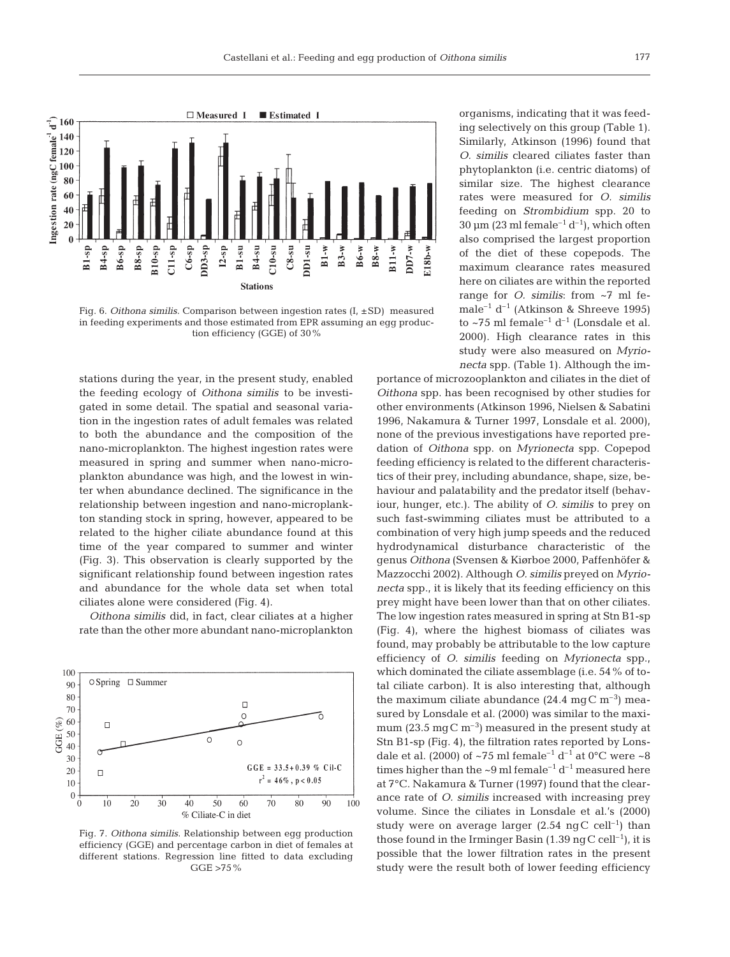

Fig. 6. *Oithona similis*. Comparison between ingestion rates (I, ±SD) measured in feeding experiments and those estimated from EPR assuming an egg production efficiency (GGE) of 30%

stations during the year, in the present study, enabled the feeding ecology of *Oithona similis* to be investigated in some detail. The spatial and seasonal variation in the ingestion rates of adult females was related to both the abundance and the composition of the nano-microplankton. The highest ingestion rates were measured in spring and summer when nano-microplankton abundance was high, and the lowest in winter when abundance declined. The significance in the relationship between ingestion and nano-microplankton standing stock in spring, however, appeared to be related to the higher ciliate abundance found at this time of the year compared to summer and winter (Fig. 3). This observation is clearly supported by the significant relationship found between ingestion rates and abundance for the whole data set when total ciliates alone were considered (Fig. 4).

*Oithona similis* did, in fact, clear ciliates at a higher rate than the other more abundant nano-microplankton



Fig. 7. *Oithona similis*. Relationship between egg production efficiency (GGE) and percentage carbon in diet of females at different stations. Regression line fitted to data excluding GGE >75%

organisms, indicating that it was feeding selectively on this group (Table 1). Similarly, Atkinson (1996) found that *O. similis* cleared ciliates faster than phytoplankton (i.e. centric diatoms) of similar size. The highest clearance rates were measured for *O. similis* feeding on *Strombidium* spp. 20 to 30  $\mu$ m (23 ml female<sup>-1</sup> d<sup>-1</sup>), which often also comprised the largest proportion of the diet of these copepods. The maximum clearance rates measured here on ciliates are within the reported range for *O. similis*: from ~7 ml female<sup>-1</sup> d<sup>-1</sup> (Atkinson & Shreeve 1995) to  $\sim$ 75 ml female<sup>-1</sup> d<sup>-1</sup> (Lonsdale et al. 2000). High clearance rates in this study were also measured on *Myrionecta* spp. (Table 1). Although the im-

portance of microzooplankton and ciliates in the diet of *Oithona* spp. has been recognised by other studies for other environments (Atkinson 1996, Nielsen & Sabatini 1996, Nakamura & Turner 1997, Lonsdale et al. 2000), none of the previous investigations have reported predation of *Oithona* spp. on *Myrionecta* spp. Copepod feeding efficiency is related to the different characteristics of their prey, including abundance, shape, size, behaviour and palatability and the predator itself (behaviour, hunger, etc.). The ability of *O. similis* to prey on such fast-swimming ciliates must be attributed to a combination of very high jump speeds and the reduced hydrodynamical disturbance characteristic of the genus *Oithona* (Svensen & Kiørboe 2000, Paffenhöfer & Mazzocchi 2002). Although *O. similis* preyed on *Myrionecta* spp., it is likely that its feeding efficiency on this prey might have been lower than that on other ciliates. The low ingestion rates measured in spring at Stn B1-sp (Fig. 4), where the highest biomass of ciliates was found, may probably be attributable to the low capture efficiency of *O. similis* feeding on *Myrionecta* spp., which dominated the ciliate assemblage (i.e. 54% of total ciliate carbon). It is also interesting that, although the maximum ciliate abundance  $(24.4 \text{ mg C m}^{-3})$  measured by Lonsdale et al. (2000) was similar to the maximum (23.5 mgC  $\rm m^{-3}$ ) measured in the present study at Stn B1-sp (Fig. 4), the filtration rates reported by Lonsdale et al. (2000) of ~75 ml female<sup>-1</sup> d<sup>-1</sup> at 0°C were ~8 times higher than the  $\sim 9$  ml female<sup>-1</sup> d<sup>-1</sup> measured here at 7°C. Nakamura & Turner (1997) found that the clearance rate of *O. similis* increased with increasing prey volume. Since the ciliates in Lonsdale et al.'s (2000) study were on average larger  $(2.54 \text{ ng C cell}^{-1})$  than those found in the Irminger Basin (1.39 ng C cell<sup>-1</sup>), it is possible that the lower filtration rates in the present study were the result both of lower feeding efficiency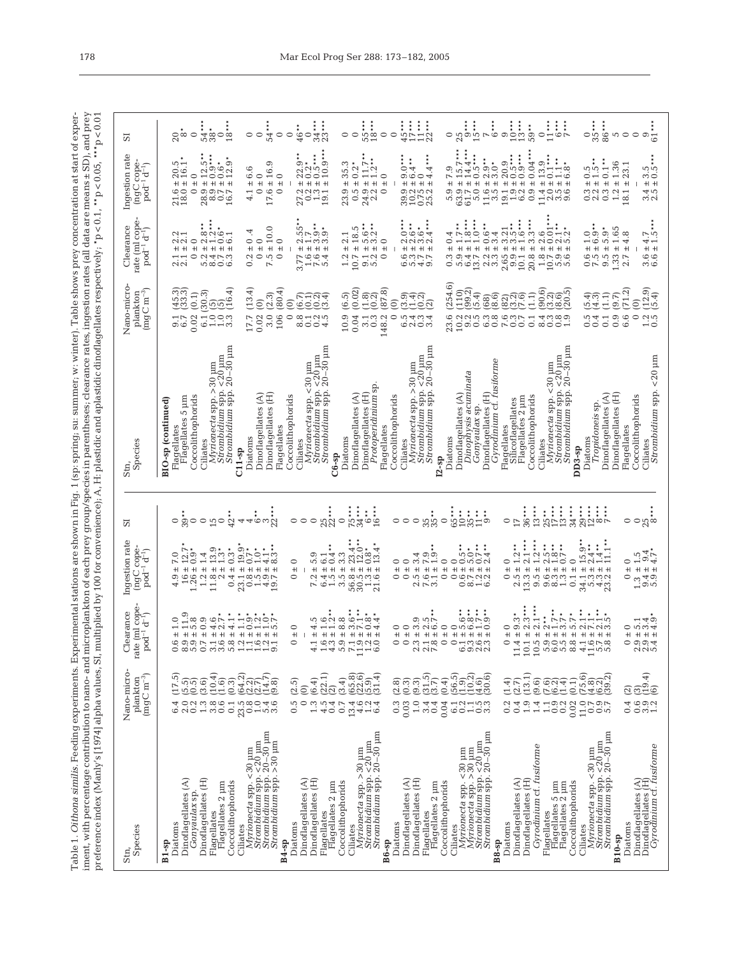Table 1. *Othona similis*. Feeding experiments. Experimental stations are shown in Fig. 1 (sp: spring; su: summer; w: winter). Table shows prey concentration at start of experiment, with percentage contribution to nano- a Table 1. *Oithona similis.* Feeding experiments. Experimental stations are shown in Fig. 1 (sp: spring; su: summer; w: winter). Table shows prey concentration at start of experiment, with percentage contribution to nano- and microplankton of each prey group/species in parentheses; clearance rates, ingestion rates (all data are means ± SD), and prey preference index (Manly's [1974] alpha values, SI, multiplied by 100 for convenience); A, H: plastidic and aplastidic dinoflagellates respectively; \*p < 0.1, \*\*p < 0.05, \*\*\*p < 0.01

| 57                                                                                     | $86***$<br>$34***$<br>$55***$<br>18***<br>$\overline{q}$ ***<br>$\frac{0}{35}$ ***<br>$45***$<br>$17***$<br>$11***$<br>$25$<br>$15***$<br>$\begin{array}{c}\n9 \overline{\phantom{0}} \\ 1 \overline{\phantom{0}} \\ 1 \overline{\phantom{0}} \\ \phantom{0} \overline{\phantom{0}} \\ 1 \overline{\phantom{0}} \\ \phantom{0} \end{array}$<br>$11***$<br>‡<br>`ಸೆ ಹಿಂ__<br>ದಿ<br>$6***$<br>59**<br>∴<br>4©<br>54*<br>$20^{\circ}_{8}$<br>$\circ$<br>$\circ$<br>$\circ$<br>$\circ$<br>$\circ$<br>$\overline{r}$<br>$\circ$<br>$\circ$<br>$\circ$<br>$\circ$<br>0<br>S<br>$\circ$ $\circ$ $\frac{1}{6}$                                                                                                                                                                                                                                                                                                                                                                                                                                                                                                                                                                                                                                                                               |
|----------------------------------------------------------------------------------------|--------------------------------------------------------------------------------------------------------------------------------------------------------------------------------------------------------------------------------------------------------------------------------------------------------------------------------------------------------------------------------------------------------------------------------------------------------------------------------------------------------------------------------------------------------------------------------------------------------------------------------------------------------------------------------------------------------------------------------------------------------------------------------------------------------------------------------------------------------------------------------------------------------------------------------------------------------------------------------------------------------------------------------------------------------------------------------------------------------------------------------------------------------------------------------------------------------------------------------------------------------------------------------------|
| Ingestion rate<br>(ngC cope-<br>$\bar{p}$ od <sup>-1</sup> d <sup>-1</sup> )           | $15.7***$<br>$14.4***$<br>$0.04***$<br>$\begin{array}{c} 22.9 \rightarrow \text{?} \\ 0.2 \rightarrow \text{?} \\ 0.5 \rightarrow \text{?} \\ 10.9 \rightarrow \text{?} \end{array}$<br>$11.7***$<br>$1.2***$<br>$0.5***$<br>$\begin{array}{c} 12.5 \rightarrow \ 0.0 \rightarrow \ 0.6 \rightarrow \ 12.9 \rightarrow \ 12.9 \rightarrow \ \end{array}$<br>$4***$<br>$13.9$<br>$11$<br>$1.1$<br>$6.8$<br>$2.9**$<br>3.0*<br>$20.9$<br>$0.5$ ***<br>$0.1***$<br>$20.5$<br>$16.1$<br>1.36<br>$\pm$ 16.9<br>35.3<br>23.1<br>6.6<br>0.2<br>$\circ$<br>4<br>0.5<br>5.5<br>0.5<br>بن<br>$\circ$<br>$\circ$<br>$\circ$<br>$\circ$<br>0<br>ග<br>0<br>$+1$<br>$^{\rm +}$<br>$^{\rm +}$<br>$+$<br>$\pm$<br>$\ddot{}$<br>$\ddot{}$<br>$\ddot{}$<br>$\pm$<br>$+$<br>$+1$<br>$+1$<br>$\pm$<br>$+1$<br>$+1$<br>$^{\rm +1}$<br>$\ddot{}$<br>$+1$<br>$\ddot{}$<br>$\pm$<br>$^{\rm +}$<br>$+$<br>$+1$<br>$+1$<br>$+$<br>$+1$<br>$+$<br>$+1$<br>$+$<br>$+$<br>$\pm$<br>$+1$<br>$+$<br>$+$<br>$+1$<br>$\pm$<br>$\pm$<br>$+$<br>$+1$<br>$+1$<br>$+$<br>$\frac{21.6}{18.0}$<br>17.6<br>$\circ$<br>0.5<br>63.7<br>13.971<br>$\frac{0.3}{2.2}$<br>$\circ$<br>2800777<br>$\circ$<br>23.9<br>$24.9$<br>$2.2$<br>$\circ$<br>30151<br>5.9<br>0.9<br>13.300<br>0.3<br>1.2<br>45<br>32<br>18.1<br>4.1            |
| rate (ml cope-<br>Clearance<br>$pod^{-1} d^{-1}$                                       | $1.0***$<br>$\ddot{x}$<br>$\ddot{\cdot}$<br>$\frac{1}{2}$ .<br>$\frac{1}{3}$ .<br>$\frac{1}{2}$ .<br>$3.5$ <sup>**</sup> **<br>1.6***<br>$0.6**$<br>3.4<br>$2.55$<br>2.15.93<br>2.10.93<br>$5.6**$<br>$3.2**$<br>$7.5 \pm 10.0$<br>$10.7 \pm 18.5$<br>$5.9*$<br>1.65<br>$\frac{1}{3}$ $\frac{1}{3}$ $\frac{1}{3}$ $\frac{1}{3}$ $\frac{1}{3}$ $\frac{1}{3}$ $\frac{1}{3}$ $\frac{1}{3}$ $\frac{1}{3}$ $\frac{1}{3}$ $\frac{1}{3}$ $\frac{1}{3}$ $\frac{1}{3}$ $\frac{1}{3}$ $\frac{1}{3}$ $\frac{1}{3}$ $\frac{1}{3}$ $\frac{1}{3}$ $\frac{1}{3}$ $\frac{1}{3}$ $\frac{1}{3}$ $\frac{1}{3}$<br>4<br>$\frac{0.0}{0.0}$<br>$\infty \cap \sigma$<br>$\overline{r}$<br>$\frac{1}{1.8}$<br>4.8<br>$4.7$<br>$1.5$<br>$\sim$<br>٣<br>4<br>$\sim$<br>00<br>$\circ$<br>$\sim$<br>$\sim$<br>$\circ$<br>0<br>$\circ$<br>0<br>○<br>$1.33 \pm$<br>$0.2 \pm 0.0$<br>$+$<br>$+$<br>$\frac{9.1 \pm}{5.2 \pm}$<br>$+1$<br>$\mathsf{H}$ $\mathsf{H}$<br>$\pm$<br>$2.3 \pm 1.3$<br>$0.6 +$<br>7.5 ±<br>$2.7 \pm$<br>$+1 +$<br>$+$<br>$+1$<br>$+$<br>$3.77 \pm 1.6 \pm 1.76 \pm 1.76 \pm 1.5$<br>$+1$ $+1$<br>$2.65 \pm 1.04$<br>10.1 ±<br>$+1$<br>$O$ $O$ $O$ $H$ $H$ $O$<br>$O$ $O$ $O$ $O$ $O$<br>1.2<br>$\circ$<br>らsrr<br>Giodio<br>$0.\overline{3}$<br>$\frac{1}{2.1}$                             |
| Nano-micro<br>$\begin{array}{c} {\rm {plankton}}\\ ({\rm {mgC~m^{-3}}}) \end{array}$   | 254.6<br>(13.4)<br>$\left(\frac{12.9}{5.4}\right)$<br>ිය.<br>ලැදු<br>(16.4)<br>(80.4)<br>(87.8)<br>(71.2)<br>(45.3)<br>(0.02)<br>$\begin{array}{c} (110) \\ (99.2) \end{array}$<br>0.6)<br>0.000<br>0.000<br>6.1(30.3)<br>(0.1)<br>(2.3)<br><u>ର୍ମ</u><br>୯୦<br>(5.4)<br>ನ್ನ<br>ಜನ್ಮಾ<br>ಜನ್ಮ<br>(9.7)<br>(6.5)<br>ada<br>este<br>(1.1)<br>$(68)$<br>$(8.6)$<br>543)<br>194<br>ಲ್ಲಿಂತ<br><u>ಅಂ</u> ರದ<br>$\odot$<br>$\odot$<br>$\overline{0}$<br>$\widehat{0}$<br>ਜੁਰੰਘ<br>3.0<br>0.02<br>000000<br>$0.1$<br>$0.7$<br>$17.7\,$<br>0.02<br>106<br>$\circ$<br>10.9<br>0.04<br>0.9<br>$\circ$<br>8125<br>8004<br>48.2<br>$\circ$<br>23.6<br>$\overline{0}$ .5<br>sa contro<br>Control<br>0.1<br>6.6<br>$3.\overline{3}$<br>うすうはら<br>10.2<br>9.2<br>anao<br>aood<br>0.5<br>1.3 <sub>0.5</sub><br>0.1                                                                                                                                                                                                                                                                                                                                                                                                                                                                                     |
| Species<br>Stn,                                                                        | $20 - 30$ $\mu m$<br>$Strombidium$ spp. $20-30$ $\mu$ m<br>Strombidium spp. 20-30 µm<br>$Strombidium$ spp. $20-30$ $\mu$ m<br>$< 20 \text{ nm}$<br>Strombidium spp. <20 um<br>$< 20 \mu m$<br>Strombidium spp. <20 um<br>$Strombiidium$ spp. $<$ 20 $\mu$ m<br>Gyrodinium cf. fusiforme<br>Myrionecta spp. > 30 pm<br>Myrionecta spp. <30 um<br>Myrionecta spp. > 30 µm<br>$< 30 \text{ }\mu\text{m}$<br>Dinophysis acuminata<br><i>Protoperidinium</i> sp<br>Strombidium spp.<br>Strombidium spp.<br>Strombidium spp.<br>Dinoflagellates (H)<br>Dinoflagellates (A)<br>Dinoflagellates (H)<br>Dinoflagellates (H)<br>Dinoflagellates (A)<br>Dinoflagellates (A)<br>Dinoflagellates (H)<br>Dinoflagellates (A)<br>Coccolithophorids<br>Coccolithophorids<br>Flagellates 5 µm<br>Coccolithophorids<br>Flagellates 2 µm<br>Myrionecta spp.<br>Coccolithophorids<br>Coccolithophorids<br>BIO-sp (continued)<br>Silicoflagellates<br>Tropidoneis sp.<br>Gonyaulax sp<br>Flagellates<br>Flagellates<br>Flagellates<br>Flagellates<br>Flagellates<br>Diatoms<br>Diatoms<br>Diatoms<br>Diatoms<br>Ciliates<br>Ciliates<br>Ciliates<br>Ciliates<br>Ciliates<br>$DD3-sp$<br>$C11-sp$<br>$C6-sp$<br>$I2 - sD$                                                                                  |
| ವ                                                                                      | $75$<br>34<br>$\frac{25}{17}$ ****<br>$446m$ $\frac{1}{2}$<br>$25$<br>0<br>0<br>$36***$<br>$13***$<br>$34***$<br>$29$<br>$72$<br>$7$<br>$5$<br>$5001$<br>$35**$<br>$\ddot{\ast}$<br>$42**$<br>$\circ\, \frac{1}{2}$<br>$\circ$<br>$\circ$ $\circ$ $\mathfrak{p}$<br><b>−</b> ∽က္လွဴစ<br>$\circ$<br>0<br>$\circ$<br>17<br>$\circ$<br>$\circ$<br>0<br>$\circ$<br>$\circ$                                                                                                                                                                                                                                                                                                                                                                                                                                                                                                                                                                                                                                                                                                                                                                                                                                                                                                               |
| Ingestion rate<br>$(ngC copenpod-1 d-1)$                                               | $1***$<br>$1.2***$<br>$\pm 15.9^{\circ}$<br>$\pm 2.4^{\circ}$<br>$\pm 1.4^{\circ}$<br>$\pm 1.1^{\circ}$<br>$2**$<br>$\pm 2.5$<br>$\pm 1.8$<br>$\pm 1.7$<br>$\pm 0.7$<br>$\begin{array}{c} 14 \\ 4 \\ 3 \\ 3 \end{array}$<br>بو نو<br>ف<br>5**<br>$\ddot{ }$<br>$+23.4$<br>$+12.0$<br>$+13.4$<br>$+13.4$<br>$7.0$<br>$7.2$<br>$1.9$<br>$1.4$<br>$^{13.9}_{1.3*}$<br>$0.3*$<br>$1.5$<br>$9.4$<br>$4.7$ *<br>4<br>ල.<br>4<br>H<br>S<br>$\circ$<br>$\circ$<br>$\circ$<br>00<br>$\frac{1}{2}$<br>$\circ$<br>$\circ$<br>$\circ$<br><b>502</b><br>$\overline{ }$<br>$\mathfrak{a}$<br>0<br>0<br>$16 \pm 7$<br>$1.26 \pm 0$<br>$1.2 +$<br>1.2 ± 1<br>11.8 ±<br>$+1$<br>$3.5 \pm 1$<br>$+1$<br>$\ddot{+}$<br>$\pm$<br>$+$<br>$\pm$<br>$\pm$<br>$\ddot{}$<br>$+$<br>$+1$ $+1$<br>$^{\rm +}$<br>$+1$<br>$+1 +$<br>$\pm$<br>$+$<br>$\pm$<br>$+1$<br>$+1$<br>$+1$<br>$+1$<br>$+1$<br>$\pm$<br>$+1$<br>n conn<br>o o co<br>0.4<br>$20 - 49$<br>6.4<br>$50, 70, 6$<br>$50, 70, 6$<br>$21, 7$<br>s na contra<br>Santo contra<br>$\begin{array}{c} 2.5 \\ 13.3 \end{array}$<br>0.1<br>$34.992$<br>$39.92$<br>13.900<br>4.9<br>$\circ$<br>Ċ.<br>rù<br>$\circ$<br>$\circ$<br>$\circ$ $\circ$<br>$\overline{r}$                                                                                          |
| rate (ml cope<br>Clearance<br>$pod^{-1} d^{-1}$                                        | $\ddot{ }$<br>$1.0$<br>$1.9$<br>$\stackrel{*}{*}$<br>socienti<br>socienti<br>HONOR<br>n cici co cincial<br>6<br>بت خرافته<br>ù.<br>ග<br>τÓ Lή<br>Ċ.<br>$F \rightarrow F$<br>$\overline{ }$<br>بننن<br>نەنە<br>mNQ<br>$-0-$<br>$\infty$<br>$\overline{\phantom{0}}$<br>$\sim$<br>$NF$ $No$<br>50/4<br>3<br>$\sim$<br>$\circ$<br>$\circ$<br>$\circ$<br>$\circ$<br>ග<br>$\alpha - \infty$<br>$\overline{5}$<br>$\circ$<br>4<br>$\mathfrak{a}$<br>○<br>$\circ$<br>$\circ$<br>0<br>$+$<br>$+$<br>$+1$<br>$+1$<br>+ + + +<br>$+1$<br>$+1$<br>$+1 +$<br>$+1$<br>$+1$<br>$+$<br>$+$<br>$+1$ $+1$<br>$+1$<br>$+$<br>$+1 +$<br>$+1$<br>$^{\rm +}$<br>$+1$<br>$+1 + 1 + 1$<br>$+1$<br>$+1 + 1 + 1 + 1$<br>$+1$<br>$+1 + 1 +$<br>$+1 +$<br>4<br>$\circ$<br>೧೧೧ ಸ<br>Ć<br>ق<br>7<br>$-0$<br>œ<br>$\circ$<br>ن ن<br>Ō.<br>$\circ$<br>$\circ$<br>$\circ$<br>S.<br>$- \infty$<br>$\circ$<br>$\circ$ $\overline{\bullet}$<br>$\circ$<br>r.<br>o o o<br>$\infty$<br>ٯ<br>$\ddot{\Omega}$<br>٥<br>0<br>$\infty$<br>5<br>$\circ$<br>ကက<br>5<br>$- - - \circ$<br>4<br>5<br>G<br>$\mathcal{L}$<br>$\mathbf{C}$<br>అ<br>ග<br>$\sim$<br>$\overline{11}$<br>$\overline{10}$<br>$\overline{10}$<br>5<br>5<br>$\infty$<br>4<br>$\overline{11}$<br>5<br>5<br><b>AUN</b><br>4<br>$\frac{11}{1}$<br>$\overline{ }$ |
| Nano-micro-<br>$\begin{array}{c} \text{plankton} \\ \text{(mg C m$^{-3})} \end{array}$ | :<br>ලුපුලු<br>(මුල<br>(10.4)<br>(22.1)<br>16<br>1991<br>1991<br>1991<br>(56.5)<br>10.2)<br>11.6<br>11.6<br>130.6)<br>(65.8)<br>$\binom{5}{3.7}$<br>75.6<br>(4.672)<br>(4.672)<br>(4.69<br>(17.5)<br>$\begin{pmatrix} 14.7 \\ 9.8 \end{pmatrix}$<br>(13.1)<br>64.2<br>(3.4)<br>(6.4)<br>ົ້ນດີ<br>ທີ່ອີ້ ອີ<br><u>ලි බි</u><br>ප් ව<br>(9.3)<br>(9.6)<br>(0.1)<br>(2.5)<br>@ ග<br>ල. න<br>(0.4)<br>$\frac{3}{1}$<br>(1.4)<br>$\overline{594}$<br>$\frac{2}{2}$<br>(5.7)<br>$\widehat{\subseteq}$<br>$\widehat{\mathcal{C}}$<br>$\overline{\mathcal{C}}$<br>0.4<br>692<br>001<br>2.0<br>$1.3$<br>3.8<br>socies<br>Socies<br>0.5<br>$\circ$<br>$4.5$<br>0.4<br>1.9<br>11.0<br>6.4<br>$\frac{2}{0.2}$<br>0.1<br>1.3<br>0.7<br>13.4<br>$\frac{6014}{400}$<br>0.3<br>0.03<br>$1.0\,$<br>0.04<br>$\frac{1}{100}$<br>0.2<br>0.4<br>1.4<br>0.9<br>0.2<br>0.02<br>$7.97$<br>$-0.07$<br>3.4<br>0.2<br>6.1<br>1.1                                                                                                                                                                                                                                                                                                                                                                                |
|                                                                                        | Střombidium spp. <20 µm<br>Strombidium spp. 20–30 µm<br>Strombidium spp. >30 µm<br>Myrionecta spp. > 30 µm<br>Strombidium spp. < 20 µm<br>Strombidium spp. 20–30 µm<br>$\begin{array}{l} \hbox{Myrionecta spp. <30 µm}\\ \hbox{Myrionecta spp. >30 µm}\\ \hbox{Strombidium spp. <20 \text{ µm}\\ \hbox{Strombidium spp. } 20-30 \text{ µm} \end{array}$<br>Strombidium spp. <20 µm<br>Strombidium spp. 20–30 µm                                                                                                                                                                                                                                                                                                                                                                                                                                                                                                                                                                                                                                                                                                                                                                                                                                                                      |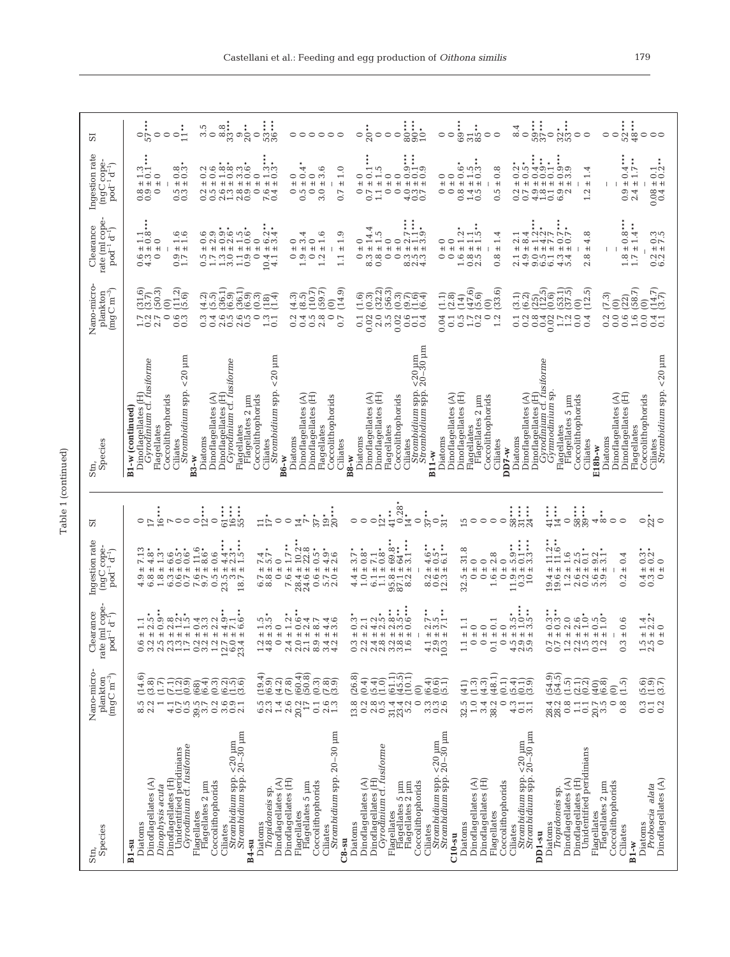| ⊣<br>٦ |
|--------|
| r      |

| Species<br>Stn,                                                                                                                                                                                                                                  | Nano-micro-<br>$\begin{array}{c} {\rm plankton}\\ {\rm (mg\,C\,m^{-3})} \end{array}$                                                                                                                                                                    | e (mi cope-<br>Clearance<br>t−<br>d<br>$pod^{-1}$<br>rat                                                                                                                                  | Ingestion rate<br>$\overline{p}$ and $\overline{q}$ coperation $p$                                                                                                                                                                                                                       | ದ                                                                                                                                                    | Species<br>Stn,                                                                                                                                                                                      | Nano-micro-<br>$\begin{array}{c} {\rm {plankton}}\\ ({\rm {mgC~m}^{-3}}) \end{array}$                                                                                                 | rate (ml cope<br>Clearance<br>$pod^{-1} d^{-1}$                                                                                                                                                                                   | Ingestion rate<br>$(ngC copen1q-1)$                                                                                                                                                                                                       | 57                                                                    |
|--------------------------------------------------------------------------------------------------------------------------------------------------------------------------------------------------------------------------------------------------|---------------------------------------------------------------------------------------------------------------------------------------------------------------------------------------------------------------------------------------------------------|-------------------------------------------------------------------------------------------------------------------------------------------------------------------------------------------|------------------------------------------------------------------------------------------------------------------------------------------------------------------------------------------------------------------------------------------------------------------------------------------|------------------------------------------------------------------------------------------------------------------------------------------------------|------------------------------------------------------------------------------------------------------------------------------------------------------------------------------------------------------|---------------------------------------------------------------------------------------------------------------------------------------------------------------------------------------|-----------------------------------------------------------------------------------------------------------------------------------------------------------------------------------------------------------------------------------|-------------------------------------------------------------------------------------------------------------------------------------------------------------------------------------------------------------------------------------------|-----------------------------------------------------------------------|
| Gyrodinium cf. fusiforme<br>Unidentified peridinians<br>Dinoflagellates (H)<br>Dinoflagellates (A)<br>Dinophysis acuta<br>Diatoms<br>$B1$ -su                                                                                                    | (14.6)<br>sic<br>Sicipio<br>8.5<br>2.2<br>$\overline{ }$                                                                                                                                                                                                | بن<br>r.<br>$\circ$<br>$\sim$<br>$\overline{\phantom{0}}$<br>$\overline{ }$<br>$+$<br>$+ + + +$<br>$\pm$<br>$+1$<br>ci ri<br>نناندان<br>6                                                 | $1.3*$<br>$6.6$<br>$+ 0.6$<br>$+ 0.6$<br>$+ 0.6$<br>7.13<br>4.8<br>$\pm$<br>$+$<br>$+$<br>$1.\overline{8}$<br>0<br>6.8<br>4                                                                                                                                                              | 16<br>$\circ$ r                                                                                                                                      | $<20~\mathrm{\upmu m}$<br>Dinoflagellates (H)<br>Gyrodinium cf. fusiforme<br>Strombidium spp.<br>Coccolithophorids<br>B1-w (continued)<br>Flagellates<br>Ciliates                                    | $\begin{pmatrix} 1.2 \\ 5.6 \end{pmatrix}$<br>(50.3)<br>$\binom{31.6}{3.7}$<br>$\widehat{0}$<br>$\circ$<br>フクマ<br>بناق<br>Ö.<br>$\sim$<br>⊣ಂ<br>ö                                     | $\rightarrow \infty$<br>00<br>$\overline{\phantom{0}}$<br>$\overline{\phantom{a}}$<br>$\circ$<br>$+1 +$<br>$+$<br>$+1$ $+1$<br>0.3<br>$\circ$<br>0.7                                                                              | ್ರಗ<br>∞ …<br>ಂ<br>$\overline{\phantom{0}}$<br>$\circ$<br>$+1 +$<br>$+1 +$<br>$+$<br>ή<br>∞ฺ∞<br>$\circ$<br>ಂ<br>ಂ                                                                                                                        | $\circ \circ \frac{1}{11}$<br>$rac{1}{57}$<br>$\circ$                 |
| Ciliates<br>Str <i>ombidium</i> spp. <20 µm<br><i>Strombidium</i> spp. 20-30 µm<br>Dinoflagellates (A)<br>Coccolithophorids<br>Flagellates<br>Flagellates 2 µm<br>Diatoms<br><i>Tropidoneis</i> sp.<br><b>B4-su</b>                              | $(19.4)$<br>$(6.9)$<br>(68)<br>0.2<br>$\frac{0.9}{2.1}$<br>$6.\overline{3}$<br>3.6<br>1.4                                                                                                                                                               | signi di si<br>وبانان<br>ùυ.<br>$\circ$ $\circ$ $\circ$<br>4FQ<br>$\frac{1}{2}$<br>$\circ$<br>$+1$ $+1$<br>$+$<br>$+1 +$<br>$+$<br>ごご ご レ<br>$Q \neq$<br>$\alpha$<br>$\circ$<br>$2^\circ$ | $4.3$<br>$4.3$<br>$1.5$<br>11.6<br>8.6<br>0.6<br>7.7<br>$\circ$<br>$+1 +$<br>$^{\rm +}$<br>$+1 +$<br>$\pm$<br>6.8<br>$\circ$<br>$23.5$<br>$18.7$<br>$18$ .                                                                                                                               | $\begin{array}{c}\n16 \rightarrow \rightarrow \\ 55 \rightarrow \rightarrow\n\end{array}$<br>$61***$<br><b>ROO ONO</b><br>$\frac{17}{17}$<br>$\circ$ | $<20~\mathrm{\upmu m}$<br>Gyrodinium cf. fusiforme<br>Strombidium spp.<br>Dinoflagellates (A)<br>E<br>Flagellates<br>Flagellates 2 µm<br>Coccolithophorids<br>Dinoflagellates<br>Diatoms<br>Ciliates | ်<br>(၁၀) (၁၀) ယ်<br>(၁၀) (၁၀)<br>(4.3)<br>$\begin{smallmatrix} 2 & 3 \ 2 & -1 \end{smallmatrix}$<br>$\circ$<br>3<br>ch ch<br>Qù ch<br>0.4<br>$\frac{1.3}{0.1}$<br>ö                  | 6<br>oo no<br>တ<br>$\sim$<br>$\circ$<br>$\overline{\bullet}$<br>ဖက<br>$\mathbf{C}$<br>0<br>$\circ$<br>$+1 +$<br>$+1$<br>$+$<br>$+1$<br>$+$<br>$+1$<br>$+1$<br>$+1$<br>5 H 30 H 30<br>5 H 30 H 30<br>$\circ$<br>10.4               | 0.6<br>88 36<br>88 36<br>N<br>نى نى<br>$\circ$<br>$\circ$<br>$\overline{\phantom{0}}$<br>$^{\rm +}$<br>$^{\rm +1}$<br>$+1$<br>$+1 +$<br>$+1 +$<br>$+1$<br>$^+$<br>00 80<br>00 80<br>$\circ$<br>$7.6$<br>0.4<br>Ńю<br>$\circ$<br>$\circ$   | $53***$<br>္း<br>စိတ္က စဥ္လ<br>$3.\overline{5}$<br>$\circ$<br>$\circ$ |
| Strombidium spp. 20-30 µm<br>Dinoflagellates (H)<br>Flagellates 5 µm<br>Coccolithophorids<br>Flagellates<br>Ciliates<br>$C8-Su$                                                                                                                  | $\left(\begin{matrix} 6 & 4 \\ 6 & 0 \end{matrix}\right)$<br>$(4.2)$<br>$(7.8)$<br>(0.3)<br>$\overline{(\vec{r},\vec{a})}$<br>2.6<br>2.3<br>20.2<br>0.1                                                                                                 | $0.47$<br>$0.47$<br>$-4.6$<br>Ņ<br>40<br>$\overline{\phantom{0}}$<br>$^{\rm +}$<br>$^{\rm +}$<br>$+1$ $+1$<br>$+1 +$<br>4<br>$Q -$<br>0<br>40                                             | $\pm$ 1.7 $^{**}$<br>$\pm 10.2^{\circ}$<br>$\pm 22.8^{\circ}$<br>$\pm 0.5$ <sup>*</sup><br>$\frac{4.9}{2.6}$<br>$+1 +$<br>7.6<br>0.6<br>28.4<br>r,o<br>50                                                                                                                                | $19**$<br>$20**$<br>37<br>$\circ$<br>14                                                                                                              | Dinoflagellates (H)<br>Dinoflagellates (A)<br>Coccolithophorids<br>Flagellates<br>Diatoms<br>Ciliates<br>$B6-W$                                                                                      | (10.7)<br>(14.9)<br>(59.7)<br>$(4.3)$<br>$(8.5)$<br>$\overline{0}$<br>0.4<br>2.8<br>$\circ$<br>$0.\overline{5}$<br>0.7                                                                | $\circ$<br>ග<br>4<br>$\div$<br>$\infty$<br>$\circ$<br>$\overline{\phantom{0}}$<br>$\circ$<br>$+$<br>$^{\rm +}$<br>$+1$<br>$+1$<br>$+1$<br>1.9<br>$\circ$<br>1.2<br>1.1<br>$\circ$                                                 | $0.4*$<br>$\circ$<br>$\frac{0}{1}$<br>$\circ$<br>$\mathfrak{g}$<br>$\circ$<br>$+$<br>$\pm$<br>$^{\rm +}$<br>$^{\rm +1}$<br>$+$<br>0.5<br>$\circ$<br>3.0<br>$\circ$<br>6.7                                                                 | 000000                                                                |
| Strombidium spp. <20 µm<br>Strombidium spp. 20–30 µm<br>Dinoflagellates (H)<br><i>Gyrodinium c</i> f. <i>fusiforme</i><br>Dinoflagellates (A)<br>Flágellates 5 µm<br>Flagellates 2 µm<br>Coccolithophorids<br>Flagellates<br>Diatoms<br>Ciliates | (26.8)<br>$\begin{smallmatrix} 1.10 \\ -1.50 \\ -1.50 \\ -1.50 \\ \hline \end{smallmatrix}$<br>(6.4)<br>$\frac{4}{10}$<br>(၁၀)<br>(၁၀)<br>(၁)<br>$\widehat{\sigma}$<br>13.8<br>nne<br>non<br>0.2<br>$\frac{8}{0.5}$<br>$\circ$<br>31.42<br>33.5<br>32.5 | ain cina<br>ب ن، ن<br>ω.<br>$\circ$<br>$\mathbf{C}$<br>4<br>$\sim$<br>$^{\rm +1}$<br>$+1$ $+1$ $+1$<br>$+1$<br>$+1 + 1 + 1 + 1 + $<br>$+1 +$<br>4 ∞<br>9 si co<br>نى نە ن<br>ώ ci         | $4.6$ ***<br>$0.5$ ***<br>$3.1**$<br>$+69.8$<br>$+69.8$<br>$+7.1$<br>$+ 0.8$ <sup>*</sup><br>$*8.0 +$<br>3.7<br>64<br>$+1 +$<br>$+$<br>$1.0$<br>$\frac{95.8}{87.2}$<br>$\frac{2000}{100}$<br>4<br>6.1<br>4                                                                               | $41$<br>$0,28$<br>$0,28$<br>$\circ \circ \circ^*_{\mathbb{C}}$<br>$\circ$<br>37<br>$\frac{1}{3}$                                                     | $_{20-30}^{+20}$ µm<br>Strombidium spp.<br>Strombidium spp.<br>Dinoflagellates (H)<br>Dinoflagellates (A)<br>Coccolithophorids<br>Flagellates<br>Diatoms<br>Ciliates<br>$B11-W$<br>$B8-W$            | (32.2)<br>(56.3)<br>(0.3)<br>ತಿ <u>ಬಂತ</u><br>ಅ<br>(1.6)<br>0.02<br>2.0<br>$3.\overline{5}$<br>0.02<br>0.14<br>0.04<br>0.1                                                            | 4<br>5<br>قضيا<br>$\overline{14}$ .<br>0<br>0<br>$\circ$<br>$\mathbb{C}$<br>⊣ຕ<br>$\circ$<br>$^{\rm +}$<br>$+$<br>$+1$<br>$+$<br>$+1$<br>$+1$<br>$+1 +$<br>8.3<br>$0.\overline{8}$<br>$\circ$<br>$\circ$<br>854<br>804<br>$\circ$ | $\sum_{0}^{***}$<br>r.<br>0.1<br>$\circ$<br>$\circ$<br>$\circ$<br>$\circ\circ\circ$<br>$^{\rm +}$<br>$^{\rm +}$<br>$+1 + 1 + 1$<br>$^{\rm +}$<br>$^{\rm +}$<br>$+1$<br>$\circ$<br>$\circ$<br>400<br>400<br>$1.1\,$<br>$\circ$<br>0<br>0.7 | $\frac{1}{300*}$<br>$20*$<br>$\circ$<br>$\circ \circ \circ$           |
| Dinoflagellates (H)<br>Dinoflagellates (A)<br>Coccolithophorids<br>Flagellates<br>Diatoms<br>$C10-su$                                                                                                                                            | (48.1)<br>(0.1)<br>(4.3)<br>1.3)<br>(41)<br>32.5<br>$1.0\,$<br>3.4<br>$\circ$<br>38.2                                                                                                                                                                   | 1.1<br>0.1<br>$\circ$<br>$\circ$<br>$\circ$<br>$\!+\!$<br>$+$<br>$+$<br>$+1$<br>$\pm$<br>$\circ$<br>$\circ$<br>$\circ$<br>$\overline{\phantom{a}}$<br>H                                   | 31.8<br>± 2.8<br>$\circ$<br>$\frac{0}{1}$<br>$\frac{0}{1}$<br>$\ddot{}$<br>$\ddot{}$<br>32.5<br>$\circ$<br>$1.6\,$<br>$\circ$<br>$\circ$                                                                                                                                                 | 15<br>$\circ$<br>$\circ$<br>$\circ$                                                                                                                  | Dinoflagellates (A)<br>Dinoflagellates (H)<br>Flagellates 2 µm<br>Coccolithophorids<br>Flagellates<br>Diatoms<br>Ciliates<br>$DD7-W$                                                                 | $\binom{47.6}{5.6}$<br>(33.6)<br>$(1.1)$<br>$(2.8)$<br>(14)<br>$\overline{0}$<br>$\circ$<br>0.1<br>0.5<br>$\overline{0.2}$<br>$\mathbf{C}$                                            | نت<br>$\mathbf{\Omega}$<br>4<br>$\overline{\phantom{0}}$<br>○<br>$+1$<br>$^{+}$<br>$+1$<br>$+1$<br>$+1$<br>$+1$<br>$\circ$<br>10000<br>$0.\overline{8}$<br>$\circ$                                                                | 0.6<br>نىن<br>$0.\overline{8}$<br>$\circ$<br>$\overline{\phantom{0}}$<br>$^{\rm +}$<br>$\pm$<br>$\pm$<br>$\pm$<br>$+1$<br>$+1$<br>$\circ$<br>$0.\overline{8}$<br>1.4<br>$0.\overline{5}$                                                  | 69**<br>31<br>$\circ$<br>$\circ$                                      |
| Ciliates<br>Str <i>ombidium</i> spp. <20 µm<br><i>Strombidium</i> spp. 20–30 µm<br>Unidentified peridinians<br>Dinoflagellates (A)<br>Dinoflagellates (H)<br>Tropidoneis sp.<br>Diatoms<br>DD1-su                                                | (54.5)<br>5 15<br>1 20<br>1 20<br>1119<br>1000<br>$0.\overline{8}$<br>3011<br>28.4<br>28.2<br>$\overline{0.1}$                                                                                                                                          | 00000000000<br>33<br>00 N<br>ijoid<br>$m + m$<br>$+1$ $+1$ $+1$<br>$\pm$<br>$+1$<br>$+1$<br>$+1$ $+1$<br>بنونين<br>$\dot{\omega}$<br>نى نى نى<br>$\vec{r}$                                | $\begin{array}{c} \pm 11.2^{**} \\ \pm 11.6^{**} \end{array}$<br>$:5.9***$<br>$:0.1***$<br>$\pm 1.6$<br>$\frac{2.5}{0.1}$<br>$\pm\!$<br>$^{\rm +}$<br>$\pm$<br>$+1$<br>$\ddot{}$<br>19.4<br>$\begin{smallmatrix} 11.9 & 1 \\ 0.3 & 1 \\ 10 & 1 \end{smallmatrix}$<br>1.2<br>بن<br>$\sim$ | $58$<br>$31$<br>$24$<br>$41***$<br>$14***$<br>58****<br>$\circ$                                                                                      | Gyrodinium cf. fusiforme<br>Gymnodinium sp<br>Dinoflagellates [H]<br>Dinoflagellates (A)<br>Flagellates 5 µm<br>Coccolithophorids<br>Flagellates<br>Diatoms<br>Ciliates<br>E18b-w                    | .<br>ಅಂಶ್ವರ<br>ವಿಲ್ವಾ<br>$\begin{pmatrix} 5 & 1 \\ 3 & 5 \end{pmatrix}$<br>(12.5)<br>(3.1)<br>$\widehat{0}$<br>$0.\overline{8}$<br>0.0<br>0.1<br>0.2<br>0.4<br>0.04<br>$1.7$<br>$1.2$ | 4<br>UOL FL<br>∞<br>$\overline{\phantom{0}}$<br>$\circ$<br>4<br>2<br>$\infty$<br>$+1$<br>$+1$<br>$+1$<br>$+1$<br>$+1 +$<br>$+1$<br>$\pm$<br>4.9<br>0.01<br>4.3<br>2.1<br>2.8                                                      | $4***$<br>$0.2*$<br>Γņ<br>တ္တ<br>$\frac{5}{20}$<br>4<br>$\circ$<br>$\circ$<br>ంగ<br>$\overline{\phantom{0}}$<br>$+1$<br>$+1$<br>$+$<br>$+$<br>$+1$<br>$+1$<br>$+$<br>$rac{900}{400}$<br>6.9<br>Ņ<br>0.7<br>1.2<br>ö                       | $59$<br>$37$<br>• • •<br>ဂ္က်က္က ဝ ဝ<br>8.4<br>$\circ$                |
| Dinoflagellates (A)<br>Flagellates<br>Flagellates 2 µm<br>Coccolithophorids<br>Proboscia alata<br>Diatoms<br>Ciliates<br>$B1-W$                                                                                                                  | ලිබි.<br>ගුපු ෆු<br>$(40)$<br>$(6.8)$<br>ี<br>เวิ<br>$\widehat{\circ}$<br>31120000<br>$0.\overline{8}$<br>$20.7$<br>3.5<br>$\circ$                                                                                                                      | 0.6<br>マジ<br>$\frac{1}{2}$<br>$\circ$<br>$+1 +$<br>$+1$<br>$+$<br>$+1 +$<br>3<br>ωü<br>$\circ$                                                                                            | 332<br>0.01<br>$\frac{0.2}{3.1}$<br>0.4<br>$\circ$<br>$+1$<br>$+1 +$<br>$+1 +$<br>$+1$<br>Ψù<br>بوب<br>Ċ.<br>$\circ$<br>Ö<br>Ö<br><u> ဟ က</u><br>$\circ$                                                                                                                                 | $\frac{2}{3}$<br>$\frac{4\infty}{2}$<br>$\circ$                                                                                                      | Ciliates<br><i>Strombidium</i> spp. <20 µm<br>Dinoflagellates (H)<br>Dinoflagellates (A)<br>Coccolithophorids<br>Flagellates<br>Diatoms                                                              | $\binom{14.7}{3.7}$<br>$(22)$<br>$(58.7)$<br>(7.3)<br>$\overline{0}$<br>$\widehat{c}$<br>0.0<br>$\mathcal{L}$<br>0.6<br>1.6<br>$\rm ^{0.0}$<br>0.4<br>ö                               | $\frac{8}{10}$<br>wiw<br>Ļ<br>ÖŅ<br>$^{\rm +}$<br>$+1$<br>$+1 +$<br>0.2<br>$1.7$<br>$1.7$                                                                                                                                         | $1.7***$<br>$0.1$ **<br>0.4<br>$\ddot{}$<br>$+1 +$<br>$\pm\vert$<br>$0.08$<br>$0.4$<br>$\overline{0}$ .<br>2.4                                                                                                                            | $52***$<br>$\circ$<br>$\circ$<br>$\circ$                              |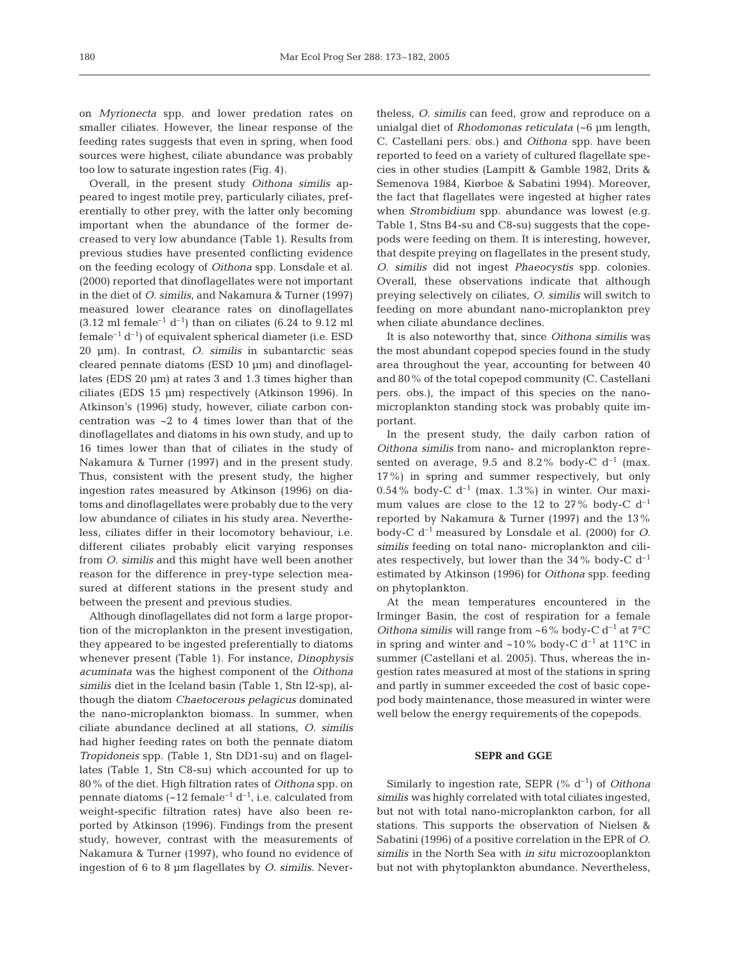on *Myrionecta* spp. and lower predation rates on smaller ciliates. However, the linear response of the feeding rates suggests that even in spring, when food sources were highest, ciliate abundance was probably too low to saturate ingestion rates (Fig. 4).

Overall, in the present study *Oithona similis* appeared to ingest motile prey, particularly ciliates, preferentially to other prey, with the latter only becoming important when the abundance of the former decreased to very low abundance (Table 1). Results from previous studies have presented conflicting evidence on the feeding ecology of *Oithona* spp. Lonsdale et al. (2000) reported that dinoflagellates were not important in the diet of *O. similis*, and Nakamura & Turner (1997) measured lower clearance rates on dinoflagellates  $(3.12 \text{ ml female}^{-1} d^{-1})$  than on ciliates  $(6.24 \text{ to } 9.12 \text{ ml})$ female<sup>-1</sup>  $d^{-1}$ ) of equivalent spherical diameter (i.e. ESD 20 µm). In contrast, *O. similis* in subantarctic seas cleared pennate diatoms (ESD 10 µm) and dinoflagellates (EDS 20 µm) at rates 3 and 1.3 times higher than ciliates (EDS 15 µm) respectively (Atkinson 1996). In Atkinson's (1996) study, however, ciliate carbon concentration was ~2 to 4 times lower than that of the dinoflagellates and diatoms in his own study, and up to 16 times lower than that of ciliates in the study of Nakamura & Turner (1997) and in the present study. Thus, consistent with the present study, the higher ingestion rates measured by Atkinson (1996) on diatoms and dinoflagellates were probably due to the very low abundance of ciliates in his study area. Nevertheless, ciliates differ in their locomotory behaviour, i.e. different ciliates probably elicit varying responses from *O. similis* and this might have well been another reason for the difference in prey-type selection measured at different stations in the present study and between the present and previous studies.

Although dinoflagellates did not form a large proportion of the microplankton in the present investigation, they appeared to be ingested preferentially to diatoms whenever present (Table 1). For instance, *Dinophysis acuminata* was the highest component of the *Oithona similis* diet in the Iceland basin (Table 1, Stn I2-sp), although the diatom *Chaetocerous pelagicus* dominated the nano-microplankton biomass. In summer, when ciliate abundance declined at all stations, *O. similis* had higher feeding rates on both the pennate diatom *Tropidoneis* spp. (Table 1, Stn DD1-su) and on flagellates (Table 1, Stn C8-su) which accounted for up to 80% of the diet. High filtration rates of *Oithona* spp. on pennate diatoms ( $\sim$ 12 female<sup>-1</sup> d<sup>-1</sup>, i.e. calculated from weight-specific filtration rates) have also been reported by Atkinson (1996). Findings from the present study, however, contrast with the measurements of Nakamura & Turner (1997), who found no evidence of ingestion of 6 to 8 µm flagellates by *O. similis*. Nevertheless, *O. similis* can feed, grow and reproduce on a unialgal diet of *Rhodomonas reticulata* (~6 µm length, C. Castellani pers. obs.) and *Oithona* spp. have been reported to feed on a variety of cultured flagellate species in other studies (Lampitt & Gamble 1982, Drits & Semenova 1984, Kiørboe & Sabatini 1994). Moreover, the fact that flagellates were ingested at higher rates when *Strombidium* spp. abundance was lowest (e.g. Table 1, Stns B4-su and C8-su) suggests that the copepods were feeding on them. It is interesting, however, that despite preying on flagellates in the present study, *O. similis* did not ingest *Phaeocystis* spp. colonies. Overall, these observations indicate that although preying selectively on ciliates, *O. similis* will switch to feeding on more abundant nano-microplankton prey when ciliate abundance declines.

It is also noteworthy that, since *Oithona similis* was the most abundant copepod species found in the study area throughout the year, accounting for between 40 and 80% of the total copepod community (C. Castellani pers. obs.), the impact of this species on the nanomicroplankton standing stock was probably quite important.

In the present study, the daily carbon ration of *Oithona similis* from nano- and microplankton represented on average, 9.5 and 8.2% body-C  $d^{-1}$  (max. 17%) in spring and summer respectively, but only  $0.54\%$  body-C d<sup>-1</sup> (max. 1.3%) in winter. Our maximum values are close to the 12 to 27% body-C  $d^{-1}$ reported by Nakamura & Turner (1997) and the 13% body-C d–1 measured by Lonsdale et al. (2000) for *O. similis* feeding on total nano- microplankton and ciliates respectively, but lower than the  $34\%$  body-C  $d^{-1}$ estimated by Atkinson (1996) for *Oithona* spp. feeding on phytoplankton.

At the mean temperatures encountered in the Irminger Basin, the cost of respiration for a female *Oithona similis* will range from ~6% body-C  $d^{-1}$  at 7°C in spring and winter and ~10% body-C  $d^{-1}$  at 11°C in summer (Castellani et al. 2005). Thus, whereas the ingestion rates measured at most of the stations in spring and partly in summer exceeded the cost of basic copepod body maintenance, those measured in winter were well below the energy requirements of the copepods.

# **SEPR and GGE**

Similarly to ingestion rate, SEPR (% d–1) of *Oithona similis* was highly correlated with total ciliates ingested, but not with total nano-microplankton carbon, for all stations. This supports the observation of Nielsen & Sabatini (1996) of a positive correlation in the EPR of *O. similis* in the North Sea with *in situ* microzooplankton but not with phytoplankton abundance. Nevertheless,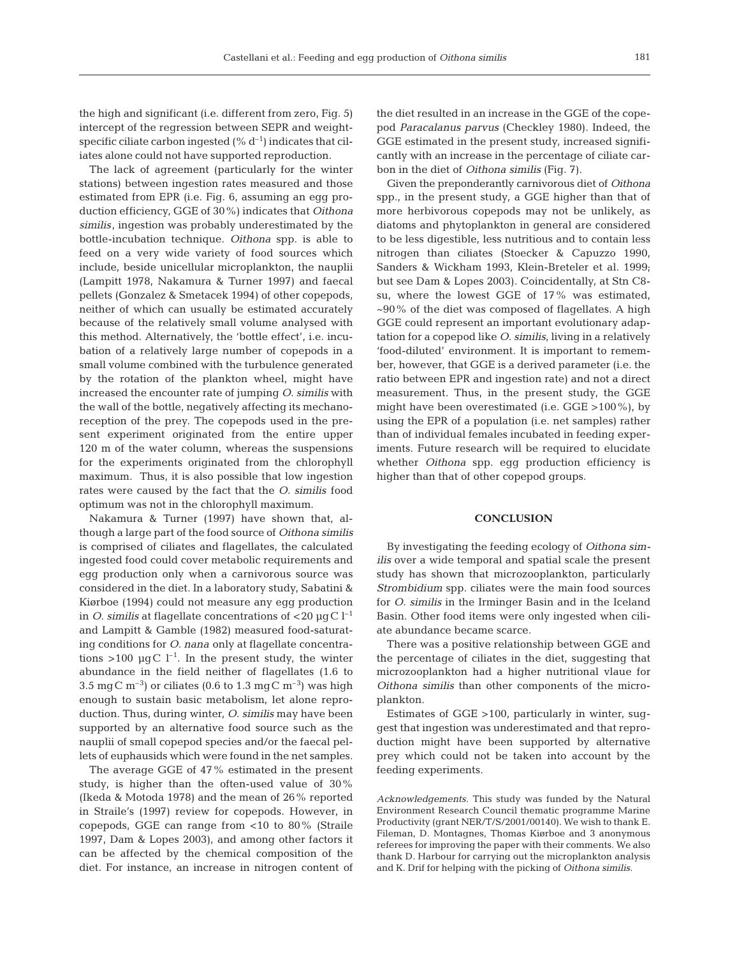the high and significant (i.e. different from zero, Fig. 5) intercept of the regression between SEPR and weightspecific ciliate carbon ingested  $(\% d^{-1})$  indicates that ciliates alone could not have supported reproduction.

The lack of agreement (particularly for the winter stations) between ingestion rates measured and those estimated from EPR (i.e. Fig. 6, assuming an egg production efficiency, GGE of 30%) indicates that *Oithona similis*, ingestion was probably underestimated by the bottle-incubation technique. *Oithona* spp. is able to feed on a very wide variety of food sources which include, beside unicellular microplankton, the nauplii (Lampitt 1978, Nakamura & Turner 1997) and faecal pellets (Gonzalez & Smetacek 1994) of other copepods, neither of which can usually be estimated accurately because of the relatively small volume analysed with this method. Alternatively, the 'bottle effect', i.e. incubation of a relatively large number of copepods in a small volume combined with the turbulence generated by the rotation of the plankton wheel, might have increased the encounter rate of jumping *O. similis* with the wall of the bottle, negatively affecting its mechanoreception of the prey. The copepods used in the present experiment originated from the entire upper 120 m of the water column, whereas the suspensions for the experiments originated from the chlorophyll maximum. Thus, it is also possible that low ingestion rates were caused by the fact that the *O. similis* food optimum was not in the chlorophyll maximum.

Nakamura & Turner (1997) have shown that, although a large part of the food source of *Oithona similis* is comprised of ciliates and flagellates, the calculated ingested food could cover metabolic requirements and egg production only when a carnivorous source was considered in the diet. In a laboratory study, Sabatini & Kiørboe (1994) could not measure any egg production in *O. similis* at flagellate concentrations of  $\langle 20 \mu g C \, h^{-1} \rangle$ and Lampitt & Gamble (1982) measured food-saturating conditions for *O. nana* only at flagellate concentrations >100  $\mu$ gC l<sup>-1</sup>. In the present study, the winter abundance in the field neither of flagellates (1.6 to 3.5 mg C m<sup>-3</sup>) or ciliates (0.6 to 1.3 mg C m<sup>-3</sup>) was high enough to sustain basic metabolism, let alone reproduction. Thus, during winter, *O. similis* may have been supported by an alternative food source such as the nauplii of small copepod species and/or the faecal pellets of euphausids which were found in the net samples.

The average GGE of 47% estimated in the present study, is higher than the often-used value of 30% (Ikeda & Motoda 1978) and the mean of 26% reported in Straile's (1997) review for copepods. However, in copepods, GGE can range from <10 to 80% (Straile 1997, Dam & Lopes 2003), and among other factors it can be affected by the chemical composition of the diet. For instance, an increase in nitrogen content of

the diet resulted in an increase in the GGE of the copepod *Paracalanus parvus* (Checkley 1980). Indeed, the GGE estimated in the present study, increased significantly with an increase in the percentage of ciliate carbon in the diet of *Oithona similis* (Fig. 7).

Given the preponderantly carnivorous diet of *Oithona* spp., in the present study, a GGE higher than that of more herbivorous copepods may not be unlikely, as diatoms and phytoplankton in general are considered to be less digestible, less nutritious and to contain less nitrogen than ciliates (Stoecker & Capuzzo 1990, Sanders & Wickham 1993, Klein-Breteler et al. 1999; but see Dam & Lopes 2003). Coincidentally, at Stn C8 su, where the lowest GGE of 17% was estimated,  $\sim$ 90% of the diet was composed of flagellates. A high GGE could represent an important evolutionary adaptation for a copepod like *O. similis*, living in a relatively 'food-diluted' environment. It is important to remember, however, that GGE is a derived parameter (i.e. the ratio between EPR and ingestion rate) and not a direct measurement. Thus, in the present study, the GGE might have been overestimated (i.e. GGE >100%), by using the EPR of a population (i.e. net samples) rather than of individual females incubated in feeding experiments. Future research will be required to elucidate whether *Oithona* spp. egg production efficiency is higher than that of other copepod groups.

#### **CONCLUSION**

By investigating the feeding ecology of *Oithona similis* over a wide temporal and spatial scale the present study has shown that microzooplankton, particularly *Strombidium* spp. ciliates were the main food sources for *O. similis* in the Irminger Basin and in the Iceland Basin. Other food items were only ingested when ciliate abundance became scarce.

There was a positive relationship between GGE and the percentage of ciliates in the diet, suggesting that microzooplankton had a higher nutritional vlaue for *Oithona similis* than other components of the microplankton.

Estimates of GGE >100, particularly in winter, suggest that ingestion was underestimated and that reproduction might have been supported by alternative prey which could not be taken into account by the feeding experiments.

*Acknowledgements*. This study was funded by the Natural Environment Research Council thematic programme Marine Productivity (grant NER/T/S/2001/00140). We wish to thank E. Fileman, D. Montagnes, Thomas Kiørboe and 3 anonymous referees for improving the paper with their comments. We also thank D. Harbour for carrying out the microplankton analysis and K. Drif for helping with the picking of *Oithona similis*.